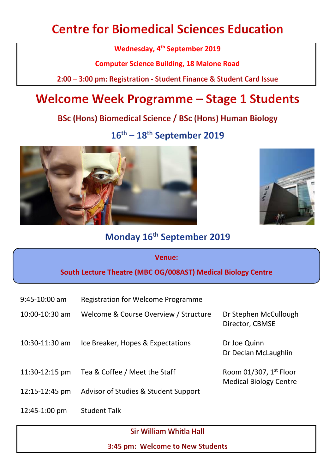# **Centre for Biomedical Sciences Education**

**Wednesday, 4 th September 2019**

**Computer Science Building, 18 Malone Road**

2:00 - 3:00 pm: Registration - Student Finance & Student Card Issue

# **Welcome Week Programme - Stage 1 Students**

**BSc (Hons) Biomedical Science / BSc (Hons) Human Biology** 

 $16^{\text{th}} - 18^{\text{th}}$  September 2019





### Monday 16th September 2019

#### **Venue:**

#### **South Lecture Theatre (MBC OG/008AST) Medical Biology Centre**

- 9:45-10:00 am Registration for Welcome Programme
- 10:00-10:30 am Welcome & Course Overview / Structure Dr Stephen McCullough
- 10:30-11:30 am Ice Breaker, Hopes & Expectations Dr Joe Quinn
- 11:30-12:15 pm Tea & Coffee / Meet the Staff Room 01/307,  $1^{st}$  Floor

Director, CBMSE

Dr Declan McLaughlin

Medical Biology Centre

- 12:15-12:45 pm Advisor of Studies & Student Support
- 12:45-1:00 pm Student Talk

Sir William Whitla Hall

3:45 pm: Welcome to New Students